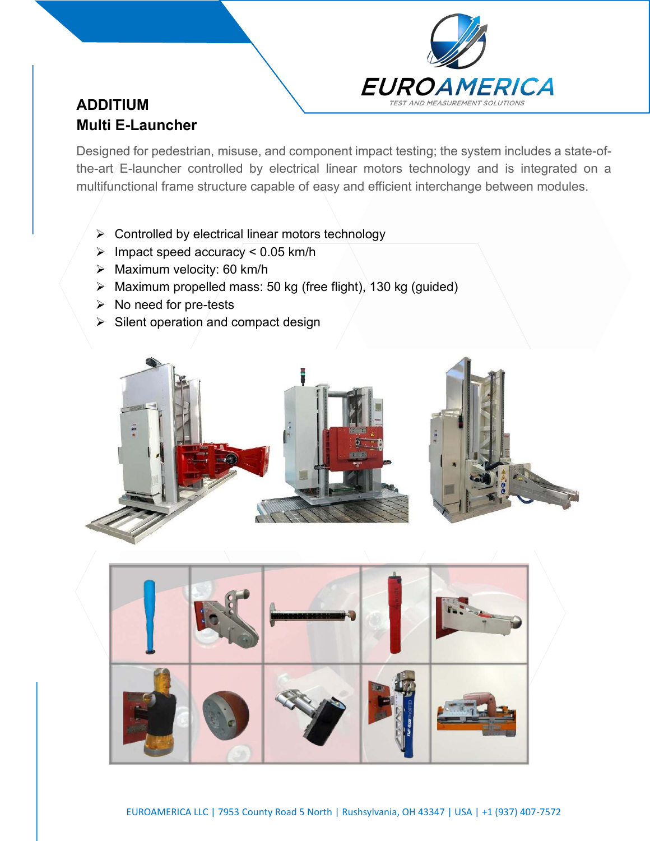

# **ADDITIUM Multi E-Launcher**

Designed for pedestrian, misuse, and component impact testing; the system includes a state-ofthe-art/E-launcher controlled by electrical linear motors technology and is integrated on a multifunctional frame structure capable of easy and efficient interchange between modules.

- ➢ Controlled by electrical linear motors technology
- $\triangleright$  Impact speed accuracy < 0.05 km/h
- ➢ Maximum velocity: 60 km/h
- $\triangleright$  Maximum propelled mass: 50 kg (free flight), 130 kg (guided)
- ➢ No need for pre-tests
- $\triangleright$  Silent operation and compact design



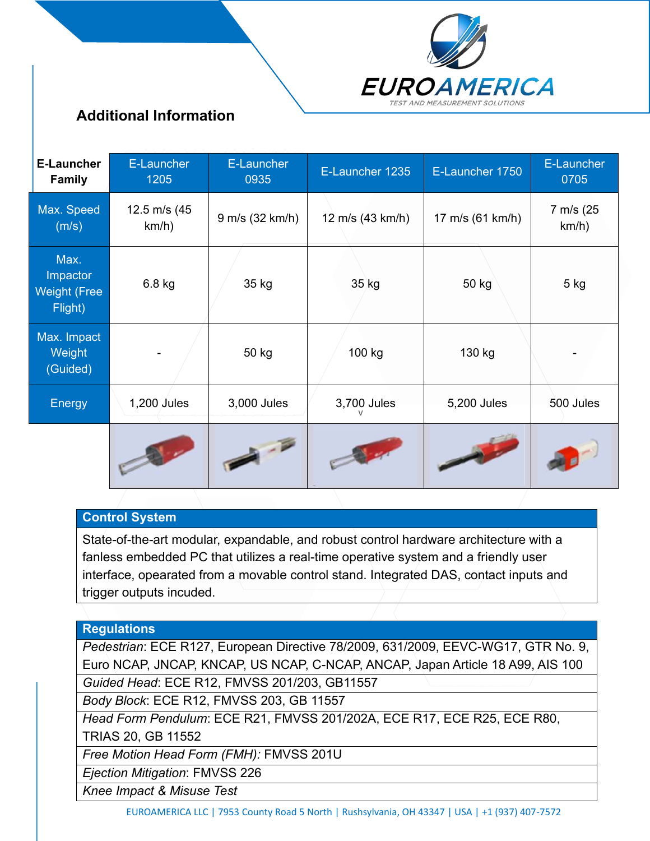

## **Additional Information**

| <b>E-Launcher</b><br><b>Family</b>                 | E-Launcher<br>1205    | E-Launcher<br>0935 | E-Launcher 1235   | E-Launcher 1750  | E-Launcher<br>0705 |
|----------------------------------------------------|-----------------------|--------------------|-------------------|------------------|--------------------|
| Max. Speed<br>(m/s)                                | 12.5 m/s (45<br>km/h) | 9 m/s (32 km/h)    | 12 m/s (43 km/h)  | 17 m/s (61 km/h) | 7 m/s (25<br>km/h) |
| Max.<br>Impactor<br><b>Weight (Free</b><br>Flight) | 6.8 kg                | 35 kg              | 35 kg             | 50 kg            | 5 kg               |
| Max. Impact<br>Weight<br>(Guided)                  | ۰                     | 50 kg              | 100 kg            | 130 kg           |                    |
| Energy                                             | $1,200$ Jules         | 3,000 Jules        | 3,700 Jules       | 5,200 Jules      | 500 Jules          |
|                                                    |                       |                    | <b>TELEVISION</b> |                  |                    |

### **Control System**

State-of-the-art modular, expandable, and robust control hardware architecture with a fanless embedded PC that utilizes a real-time operative system and a friendly user interface, opearated from a movable control stand. Integrated DAS, contact inputs and trigger outputs incuded.

### **Regulations**

*Pedestrian*: ECE R127, European Directive 78/2009, 631/2009, EEVC-WG17, GTR No. 9, Euro NCAP, JNCAP, KNCAP, US NCAP, C-NCAP, ANCAP, Japan Article 18 A99, AIS 100 *Guided Head*: ECE R12, FMVSS 201/203, GB11557

*Body Block*: ECE R12, FMVSS 203, GB 11557

*Head Form Pendulum*: ECE R21, FMVSS 201/202A, ECE R17, ECE R25, ECE R80, TRIAS 20, GB 11552

*Free Motion Head Form (FMH):* FMVSS 201U

*Ejection Mitigation*: FMVSS 226

*Knee Impact & Misuse Test*

EUROAMERICA LLC | 7953 County Road 5 North | Rushsylvania, OH 43347 | USA | +1 (937) 407-7572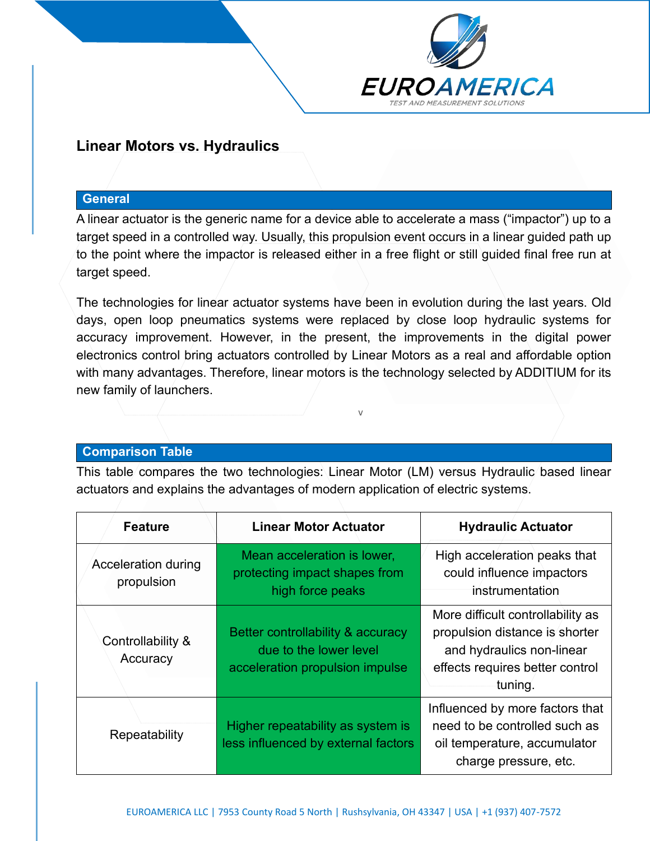

## **Linear Motors vs. Hydraulics**

#### **General**

A linear actuator is the generic name for a device able to accelerate a mass ("impactor") up to a target speed in a controlled way. Usually, this propulsion event occurs in a linear guided path up to the point where the impactor is released either in a free flight or still guided final free run at target speed.

The technologies for linear actuator systems have been in evolution during the last years. Old days, open loop pneumatics systems were replaced by close loop hydraulic systems for accuracy improvement. However, in the present, the improvements in the digital power electronics control bring actuators controlled by Linear Motors as a real and affordable option with many advantages. Therefore, linear motors is the technology selected by ADDITIUM for its new family of launchers.

 $\sqrt{ }$ 

### **Comparison Table**

Ι

This table compares the two technologies: Linear Motor (LM) versus Hydraulic based linear actuators and explains the advantages of modern application of electric systems.

| <b>Feature</b>                    | <b>Linear Motor Actuator</b>                                                                   | <b>Hydraulic Actuator</b>                                                                                                                      |  |
|-----------------------------------|------------------------------------------------------------------------------------------------|------------------------------------------------------------------------------------------------------------------------------------------------|--|
| Acceleration during<br>propulsion | Mean acceleration is lower,<br>protecting impact shapes from<br>high force peaks               | High acceleration peaks that<br>could influence impactors<br>instrumentation                                                                   |  |
| Controllability &<br>Accuracy     | Better controllability & accuracy<br>due to the lower level<br>acceleration propulsion impulse | More difficult controllability as<br>propulsion distance is shorter<br>and hydraulics non-linear<br>effects requires better control<br>tuning. |  |
| Repeatability                     | Higher repeatability as system is<br>less influenced by external factors                       | Influenced by more factors that<br>need to be controlled such as<br>oil temperature, accumulator<br>charge pressure, etc.                      |  |